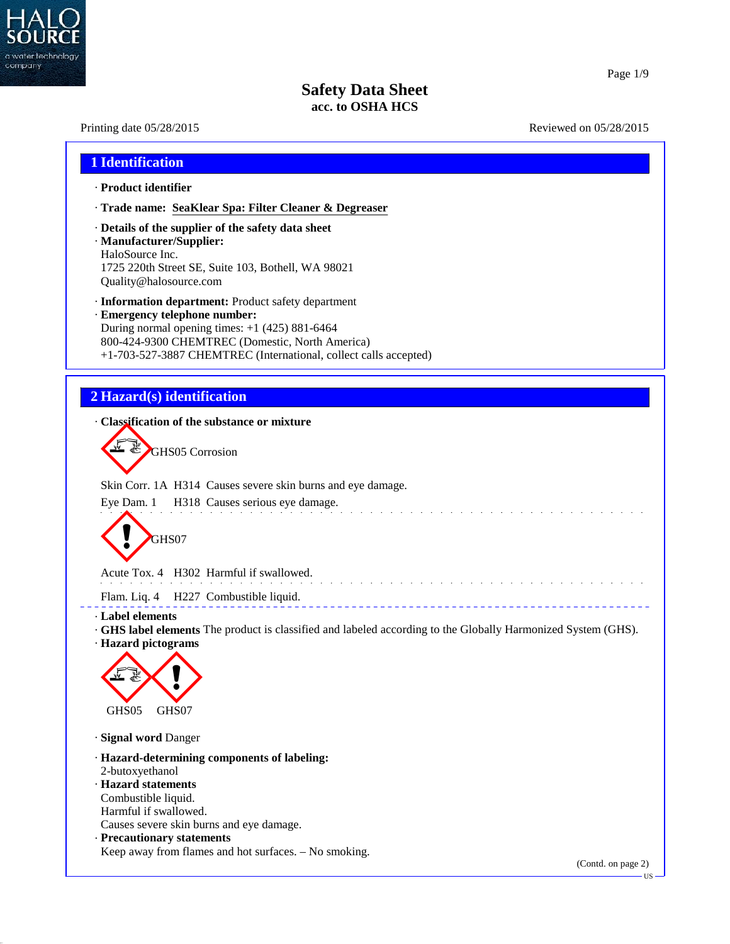

40.2.7

# Page 1/9

# **Safety Data Sheet acc. to OSHA HCS**

| Printing date 05/28/2015                                                                                                                                                                                                                                        | Reviewed on 05/28/2015 |
|-----------------------------------------------------------------------------------------------------------------------------------------------------------------------------------------------------------------------------------------------------------------|------------------------|
| 1 Identification                                                                                                                                                                                                                                                |                        |
| · Product identifier                                                                                                                                                                                                                                            |                        |
| · Trade name: SeaKlear Spa: Filter Cleaner & Degreaser                                                                                                                                                                                                          |                        |
| Details of the supplier of the safety data sheet<br>· Manufacturer/Supplier:<br>HaloSource Inc.<br>1725 220th Street SE, Suite 103, Bothell, WA 98021<br>Quality@halosource.com                                                                                 |                        |
| · Information department: Product safety department<br>· Emergency telephone number:<br>During normal opening times: $+1$ (425) 881-6464<br>800-424-9300 CHEMTREC (Domestic, North America)<br>+1-703-527-3887 CHEMTREC (International, collect calls accepted) |                        |
| 2 Hazard(s) identification                                                                                                                                                                                                                                      |                        |
| Classification of the substance or mixture                                                                                                                                                                                                                      |                        |
| GHS05 Corrosion                                                                                                                                                                                                                                                 |                        |
| Skin Corr. 1A H314 Causes severe skin burns and eye damage.                                                                                                                                                                                                     |                        |
| Eye Dam. 1 H318 Causes serious eye damage.<br>GHS07                                                                                                                                                                                                             |                        |
| Acute Tox. 4 H302 Harmful if swallowed.                                                                                                                                                                                                                         |                        |
| Flam. Liq. 4 H227 Combustible liquid.                                                                                                                                                                                                                           |                        |
| · Label elements<br>· GHS label elements The product is classified and labeled according to the Globally Harmonized System (GHS).<br>· Hazard pictograms<br>GHS05<br>GHS07                                                                                      |                        |
| · Signal word Danger                                                                                                                                                                                                                                            |                        |
| · Hazard-determining components of labeling:<br>2-butoxyethanol<br>· Hazard statements<br>Combustible liquid.<br>Harmful if swallowed.<br>Causes severe skin burns and eye damage.<br>· Precautionary statements                                                |                        |
| Keep away from flames and hot surfaces. - No smoking.                                                                                                                                                                                                           | (Contd. on page 2)     |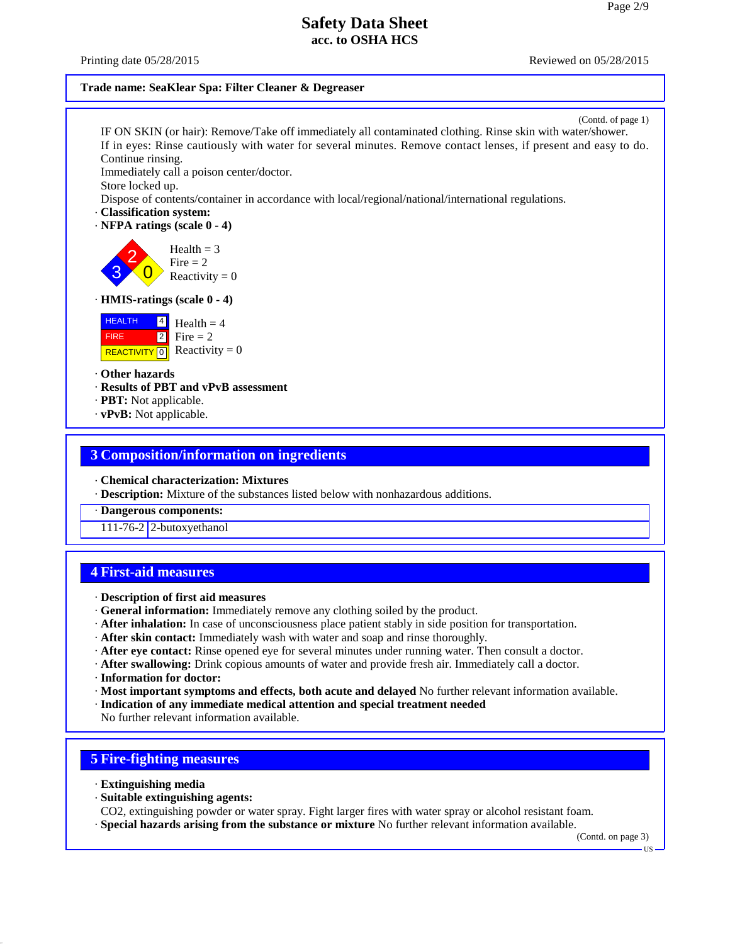Printing date 05/28/2015 **Reviewed on 05/28/2015** Reviewed on 05/28/2015

### **Trade name: SeaKlear Spa: Filter Cleaner & Degreaser**

(Contd. of page 1) IF ON SKIN (or hair): Remove/Take off immediately all contaminated clothing. Rinse skin with water/shower. If in eyes: Rinse cautiously with water for several minutes. Remove contact lenses, if present and easy to do. Continue rinsing. Immediately call a poison center/doctor. Store locked up. Dispose of contents/container in accordance with local/regional/national/international regulations. · **Classification system:** · **NFPA ratings (scale 0 - 4)**  $\left\{\frac{3}{8}\right\}$  Reactivity = 0  $\begin{array}{c} \text{mean} = 5 \\ \text{Fire} = 2 \end{array}$ Health  $= 3$ · **HMIS-ratings (scale 0 - 4) HEALTH**  FIRE **REACTIVITY** 0  $\frac{4}{ }$  Health = 4  $2 \mid$  Fire = 2  $\overline{0}$  Reactivity = 0 · **Other hazards** · **Results of PBT and vPvB assessment** · **PBT:** Not applicable. · **vPvB:** Not applicable.

## **3 Composition/information on ingredients**

- · **Chemical characterization: Mixtures**
- · **Description:** Mixture of the substances listed below with nonhazardous additions.
- · **Dangerous components:**

111-76-2 2-butoxyethanol

## **4 First-aid measures**

- · **Description of first aid measures**
- · **General information:** Immediately remove any clothing soiled by the product.
- · **After inhalation:** In case of unconsciousness place patient stably in side position for transportation.
- · **After skin contact:** Immediately wash with water and soap and rinse thoroughly.
- · **After eye contact:** Rinse opened eye for several minutes under running water. Then consult a doctor.
- · **After swallowing:** Drink copious amounts of water and provide fresh air. Immediately call a doctor. · **Information for doctor:**
- · **Most important symptoms and effects, both acute and delayed** No further relevant information available.
- · **Indication of any immediate medical attention and special treatment needed**

No further relevant information available.

## **5 Fire-fighting measures**

· **Extinguishing media**

40.2.7

· **Suitable extinguishing agents:**

CO2, extinguishing powder or water spray. Fight larger fires with water spray or alcohol resistant foam. · **Special hazards arising from the substance or mixture** No further relevant information available.

(Contd. on page 3)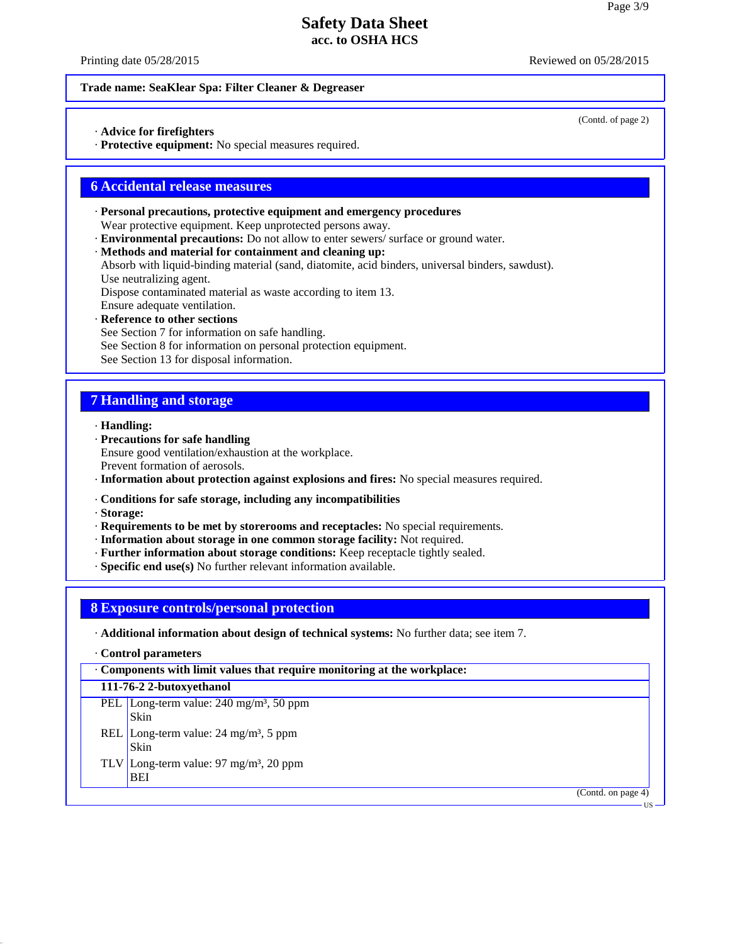Printing date 05/28/2015 **Reviewed on 05/28/2015** Reviewed on 05/28/2015

(Contd. of page 2)

### **Trade name: SeaKlear Spa: Filter Cleaner & Degreaser**

· **Advice for firefighters**

· **Protective equipment:** No special measures required.

## **6 Accidental release measures**

- · **Personal precautions, protective equipment and emergency procedures** Wear protective equipment. Keep unprotected persons away.
- · **Environmental precautions:** Do not allow to enter sewers/ surface or ground water.
- · **Methods and material for containment and cleaning up:**

Absorb with liquid-binding material (sand, diatomite, acid binders, universal binders, sawdust). Use neutralizing agent.

Dispose contaminated material as waste according to item 13.

Ensure adequate ventilation.

· **Reference to other sections**

See Section 7 for information on safe handling.

See Section 8 for information on personal protection equipment.

See Section 13 for disposal information.

### **7 Handling and storage**

- · **Handling:**
- · **Precautions for safe handling** Ensure good ventilation/exhaustion at the workplace. Prevent formation of aerosols.
- · **Information about protection against explosions and fires:** No special measures required.
- · **Conditions for safe storage, including any incompatibilities**
- · **Storage:**

40.2.7

- · **Requirements to be met by storerooms and receptacles:** No special requirements.
- · **Information about storage in one common storage facility:** Not required.
- · **Further information about storage conditions:** Keep receptacle tightly sealed.
- · **Specific end use(s)** No further relevant information available.

## **8 Exposure controls/personal protection**

### · **Additional information about design of technical systems:** No further data; see item 7.

· **Control parameters**

| Components with limit values that require monitoring at the workplace: |  |  |  |
|------------------------------------------------------------------------|--|--|--|
|                                                                        |  |  |  |

**111-76-2 2-butoxyethanol**

- PEL Long-term value: 240 mg/m<sup>3</sup>, 50 ppm Skin
- REL Long-term value:  $24 \text{ mg/m}^3$ , 5 ppm Skin
- TLV Long-term value: 97 mg/m³, 20 ppm BEI

(Contd. on page 4)

US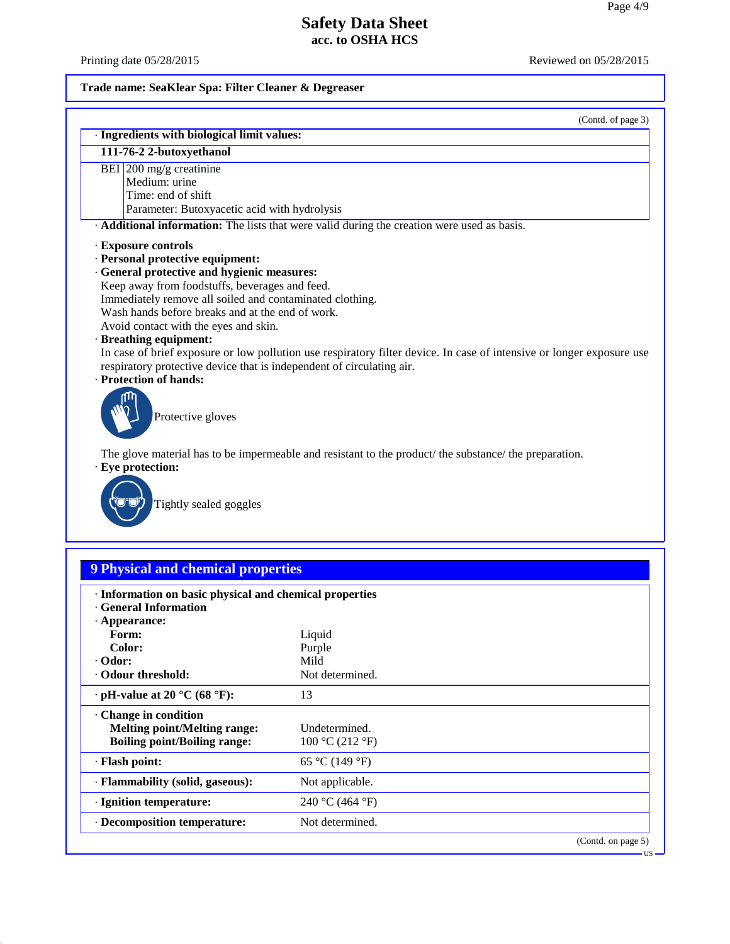US

# **Safety Data Sheet acc. to OSHA HCS**

40.2.7

Printing date 05/28/2015 Reviewed on 05/28/2015

# **Trade name: SeaKlear Spa: Filter Cleaner & Degreaser**

| (Contd. of page 3) |  |
|--------------------|--|
|--------------------|--|

| · Ingredients with biological limit values:                                                                           |
|-----------------------------------------------------------------------------------------------------------------------|
| 111-76-2 2-butoxyethanol                                                                                              |
| BEI $200$ mg/g creatinine                                                                                             |
| Medium: urine                                                                                                         |
| Time: end of shift                                                                                                    |
| Parameter: Butoxyacetic acid with hydrolysis                                                                          |
| Additional information: The lists that were valid during the creation were used as basis.                             |
| <b>Exposure controls</b>                                                                                              |
| · Personal protective equipment:                                                                                      |
| · General protective and hygienic measures:                                                                           |
| Keep away from foodstuffs, beverages and feed.                                                                        |
| Immediately remove all soiled and contaminated clothing.                                                              |
| Wash hands before breaks and at the end of work.                                                                      |
| Avoid contact with the eyes and skin.                                                                                 |
| · Breathing equipment:                                                                                                |
| In case of brief exposure or low pollution use respiratory filter device. In case of intensive or longer exposure use |
| respiratory protective device that is independent of circulating air.                                                 |
| · Protection of hands:                                                                                                |
|                                                                                                                       |
| Protective gloves                                                                                                     |
|                                                                                                                       |
|                                                                                                                       |
| The glove material has to be impermeable and resistant to the product/ the substance/ the preparation.                |
| · Eye protection:                                                                                                     |
|                                                                                                                       |
| Tightly sealed goggles                                                                                                |
|                                                                                                                       |
|                                                                                                                       |
|                                                                                                                       |
| <b>9 Physical and chemical properties</b>                                                                             |
|                                                                                                                       |
| · Information on basic physical and chemical properties                                                               |

| THE HIGH DIE DASIC PHYSICAL AIRE CHEHICAL PLUPELIES<br>General Information |                 |                    |
|----------------------------------------------------------------------------|-----------------|--------------------|
| $\cdot$ Appearance:                                                        |                 |                    |
| Form:                                                                      | Liquid          |                    |
| Color:                                                                     | Purple          |                    |
| $\cdot$ Odor:                                                              | Mild            |                    |
| Odour threshold:                                                           | Not determined. |                    |
| $\cdot$ pH-value at 20 °C (68 °F):                                         | 13              |                    |
| Change in condition                                                        |                 |                    |
| <b>Melting point/Melting range:</b>                                        | Undetermined.   |                    |
| <b>Boiling point/Boiling range:</b>                                        | 100 °C (212 °F) |                    |
| · Flash point:                                                             | 65 °C (149 °F)  |                    |
| · Flammability (solid, gaseous):                                           | Not applicable. |                    |
| · Ignition temperature:                                                    | 240 °C (464 °F) |                    |
| · Decomposition temperature:                                               | Not determined. |                    |
|                                                                            |                 | (Contd. on page 5) |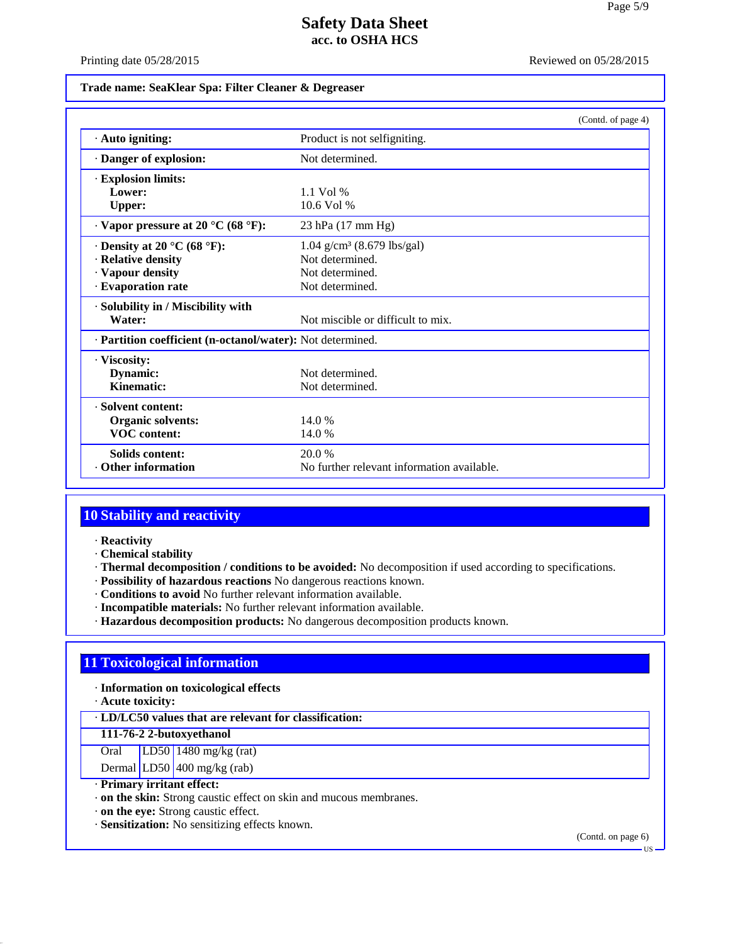Printing date 05/28/2015 Reviewed on 05/28/2015

### **Trade name: SeaKlear Spa: Filter Cleaner & Degreaser**

|                                                            |                                            | (Contd. of page 4) |
|------------------------------------------------------------|--------------------------------------------|--------------------|
| · Auto igniting:                                           | Product is not selfigniting.               |                    |
| · Danger of explosion:                                     | Not determined.                            |                    |
| · Explosion limits:                                        |                                            |                    |
| Lower:                                                     | $1.1$ Vol %                                |                    |
| <b>Upper:</b>                                              | 10.6 Vol %                                 |                    |
| $\cdot$ Vapor pressure at 20 °C (68 °F):                   | 23 hPa (17 mm Hg)                          |                    |
| $\cdot$ Density at 20 °C (68 °F):                          | $1.04$ g/cm <sup>3</sup> (8.679 lbs/gal)   |                    |
| · Relative density                                         | Not determined.                            |                    |
| · Vapour density                                           | Not determined.                            |                    |
| · Evaporation rate                                         | Not determined.                            |                    |
| · Solubility in / Miscibility with                         |                                            |                    |
| Water:                                                     | Not miscible or difficult to mix.          |                    |
| · Partition coefficient (n-octanol/water): Not determined. |                                            |                    |
| · Viscosity:                                               |                                            |                    |
| Dynamic:                                                   | Not determined.                            |                    |
| Kinematic:                                                 | Not determined.                            |                    |
| · Solvent content:                                         |                                            |                    |
| <b>Organic solvents:</b>                                   | 14.0%                                      |                    |
| <b>VOC</b> content:                                        | 14.0%                                      |                    |
| <b>Solids content:</b>                                     | 20.0 %                                     |                    |
| <b>Other information</b>                                   | No further relevant information available. |                    |

# **10 Stability and reactivity**

· **Reactivity**

· **Chemical stability**

· **Thermal decomposition / conditions to be avoided:** No decomposition if used according to specifications.

- · **Possibility of hazardous reactions** No dangerous reactions known.
- · **Conditions to avoid** No further relevant information available.
- · **Incompatible materials:** No further relevant information available.
- · **Hazardous decomposition products:** No dangerous decomposition products known.

## **11 Toxicological information**

· **Information on toxicological effects**

· **Acute toxicity:**

40.2.7

· **LD/LC50 values that are relevant for classification:**

**111-76-2 2-butoxyethanol**

Oral LD50 1480 mg/kg (rat)

Dermal LD50  $400$  mg/kg (rab)

- · **Primary irritant effect:**
- · **on the skin:** Strong caustic effect on skin and mucous membranes.

· **on the eye:** Strong caustic effect.

· **Sensitization:** No sensitizing effects known.

(Contd. on page 6)

US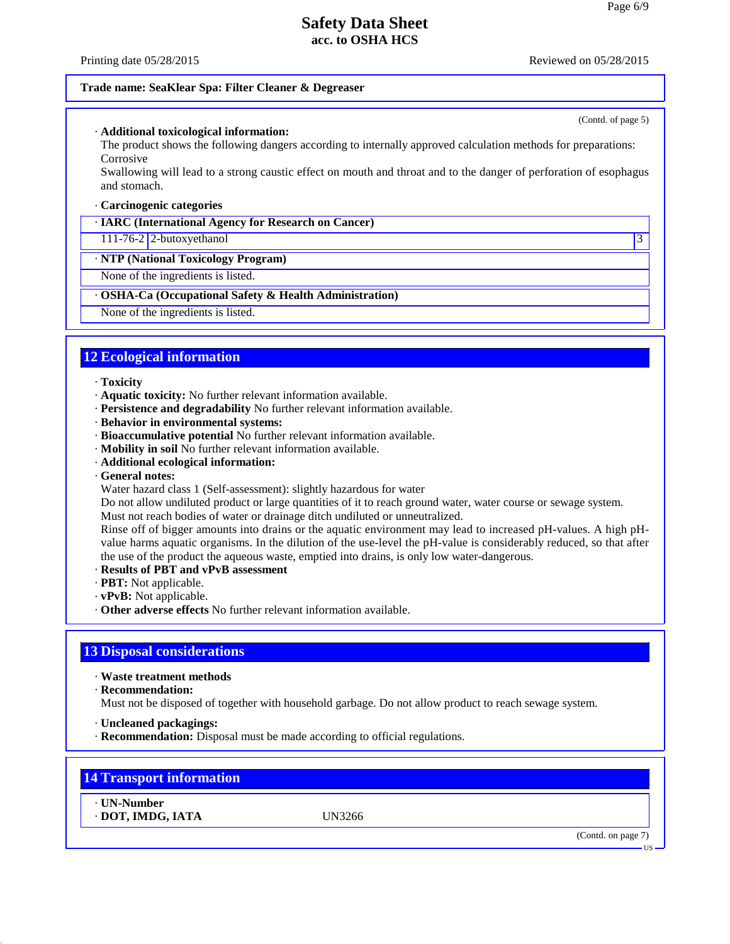Printing date 05/28/2015 **Reviewed on 05/28/2015** Reviewed on 05/28/2015

(Contd. of page 5)

### **Trade name: SeaKlear Spa: Filter Cleaner & Degreaser**

#### · **Additional toxicological information:**

The product shows the following dangers according to internally approved calculation methods for preparations: Corrosive

Swallowing will lead to a strong caustic effect on mouth and throat and to the danger of perforation of esophagus and stomach.

#### · **Carcinogenic categories**

#### · **IARC (International Agency for Research on Cancer)**

111-76-2 2-butoxyethanol 3

### · **NTP (National Toxicology Program)**

None of the ingredients is listed.

### · **OSHA-Ca (Occupational Safety & Health Administration)**

None of the ingredients is listed.

## **12 Ecological information**

#### · **Toxicity**

- · **Aquatic toxicity:** No further relevant information available.
- · **Persistence and degradability** No further relevant information available.
- · **Behavior in environmental systems:**
- · **Bioaccumulative potential** No further relevant information available.
- · **Mobility in soil** No further relevant information available.
- · **Additional ecological information:**
- · **General notes:**
- Water hazard class 1 (Self-assessment): slightly hazardous for water

Do not allow undiluted product or large quantities of it to reach ground water, water course or sewage system. Must not reach bodies of water or drainage ditch undiluted or unneutralized.

Rinse off of bigger amounts into drains or the aquatic environment may lead to increased pH-values. A high pH value harms aquatic organisms. In the dilution of the use-level the pH-value is considerably reduced, so that after the use of the product the aqueous waste, emptied into drains, is only low water-dangerous.

- · **Results of PBT and vPvB assessment**
- · **PBT:** Not applicable.
- · **vPvB:** Not applicable.
- · **Other adverse effects** No further relevant information available.

### **13 Disposal considerations**

· **Waste treatment methods**

· **Recommendation:**

Must not be disposed of together with household garbage. Do not allow product to reach sewage system.

- · **Uncleaned packagings:**
- · **Recommendation:** Disposal must be made according to official regulations.

## **14 Transport information**

· **UN-Number** · **DOT, IMDG, IATA** UN3266

40.2.7

US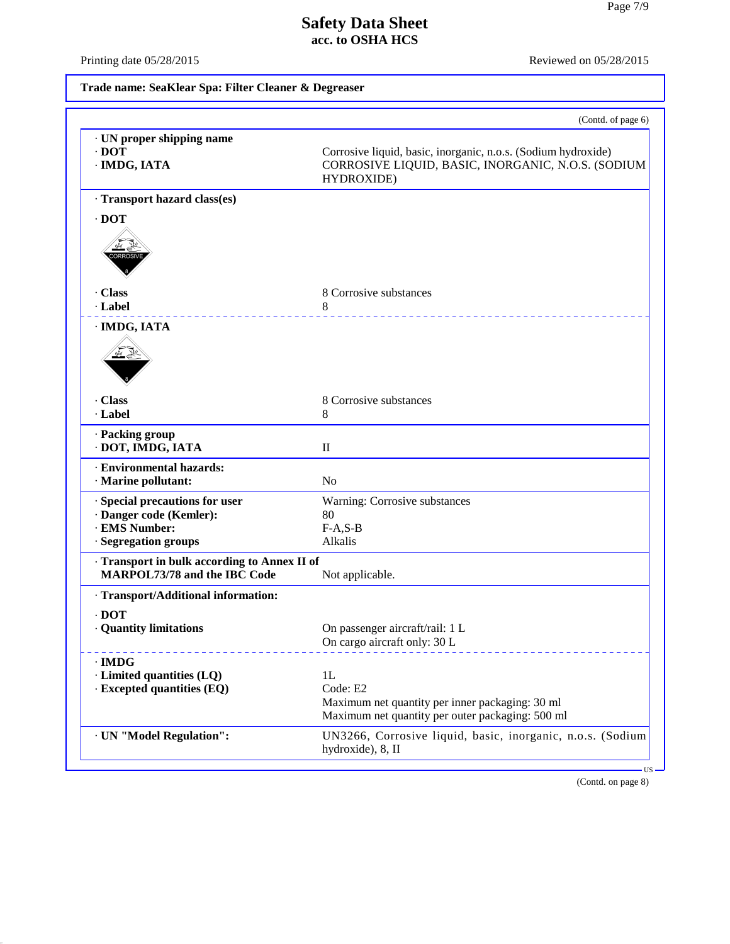40.2.7

Printing date 05/28/2015 Reviewed on 05/28/2015

# **Trade name: SeaKlear Spa: Filter Cleaner & Degreaser**

| · UN proper shipping name<br>$\cdot$ DOT<br>· IMDG, IATA                                           | Corrosive liquid, basic, inorganic, n.o.s. (Sodium hydroxide)<br>CORROSIVE LIQUID, BASIC, INORGANIC, N.O.S. (SODIUM<br>HYDROXIDE) |
|----------------------------------------------------------------------------------------------------|-----------------------------------------------------------------------------------------------------------------------------------|
| · Transport hazard class(es)                                                                       |                                                                                                                                   |
| $\cdot$ DOT<br><b>ORROSI</b>                                                                       |                                                                                                                                   |
| . Class<br>· Label                                                                                 | 8 Corrosive substances<br>8<br>__________________                                                                                 |
| · IMDG, IATA                                                                                       |                                                                                                                                   |
| Class<br>· Label                                                                                   | 8 Corrosive substances<br>8                                                                                                       |
| · Packing group<br>· DOT, IMDG, IATA                                                               | $\mathbf{I}$                                                                                                                      |
| · Environmental hazards:<br>· Marine pollutant:                                                    | No                                                                                                                                |
| · Special precautions for user<br>· Danger code (Kemler):<br>· EMS Number:<br>· Segregation groups | Warning: Corrosive substances<br>80<br>$F-A, S-B$<br>Alkalis                                                                      |
| Transport in bulk according to Annex II of<br>MARPOL73/78 and the IBC Code                         | Not applicable.                                                                                                                   |
| · Transport/Additional information:                                                                |                                                                                                                                   |
| $\cdot$ DOT<br>· Quantity limitations                                                              | On passenger aircraft/rail: 1 L<br>On cargo aircraft only: 30 L                                                                   |
| $\cdot$ IMDG<br>· Limited quantities (LQ)<br><b>Excepted quantities (EQ)</b>                       | 1L<br>Code: E2<br>Maximum net quantity per inner packaging: 30 ml<br>Maximum net quantity per outer packaging: 500 ml             |
| · UN "Model Regulation":                                                                           | UN3266, Corrosive liquid, basic, inorganic, n.o.s. (Sodium                                                                        |

(Contd. on page 8)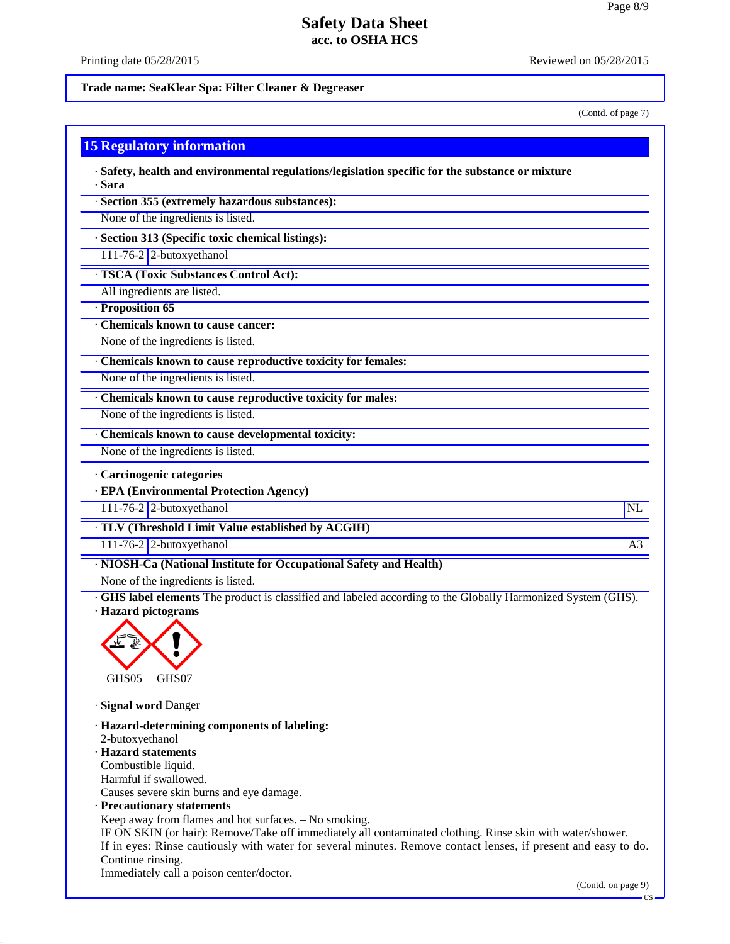### Printing date 05/28/2015 **Reviewed on 05/28/2015** Reviewed on 05/28/2015

### **Trade name: SeaKlear Spa: Filter Cleaner & Degreaser**

(Contd. of page 7)

### **15 Regulatory information**

· **Safety, health and environmental regulations/legislation specific for the substance or mixture** · **Sara**

· **Section 355 (extremely hazardous substances):**

None of the ingredients is listed.

· **Section 313 (Specific toxic chemical listings):**

111-76-2 2-butoxyethanol

· **TSCA (Toxic Substances Control Act):**

All ingredients are listed.

· **Proposition 65**

· **Chemicals known to cause cancer:**

None of the ingredients is listed.

· **Chemicals known to cause reproductive toxicity for females:**

None of the ingredients is listed.

· **Chemicals known to cause reproductive toxicity for males:**

None of the ingredients is listed.

· **Chemicals known to cause developmental toxicity:**

None of the ingredients is listed.

· **Carcinogenic categories**

· **EPA (Environmental Protection Agency)**

111-76-2 2-butoxyethanol NL

· **TLV (Threshold Limit Value established by ACGIH)**

111-76-2 2-butoxyethanol and the state of the state of the state of the state of the state of the state of the state of the state of the state of the state of the state of the state of the state of the state of the state o

· **NIOSH-Ca (National Institute for Occupational Safety and Health)**

None of the ingredients is listed.

· **GHS label elements** The product is classified and labeled according to the Globally Harmonized System (GHS). · **Hazard pictograms**



· **Signal word** Danger

40.2.7

· **Hazard-determining components of labeling:** 2-butoxyethanol · **Hazard statements** Combustible liquid. Harmful if swallowed. Causes severe skin burns and eye damage. · **Precautionary statements** Keep away from flames and hot surfaces.  $-$  No smoking. IF ON SKIN (or hair): Remove/Take off immediately all contaminated clothing. Rinse skin with water/shower. If in eyes: Rinse cautiously with water for several minutes. Remove contact lenses, if present and easy to do. Continue rinsing. Immediately call a poison center/doctor.

(Contd. on page 9)